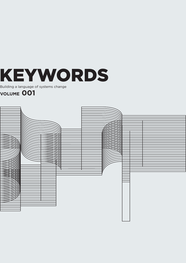

Building a language of systems change

### **VOLUME 001**

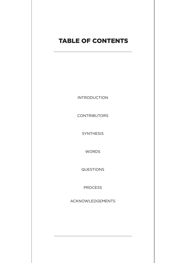### TABLE OF CONTENTS

INTRODUCTION

**CONTRIBUTORS** 

SYNTHESIS

WORDS

QUESTIONS

PROCESS

ACKNOWLEDGEMENTS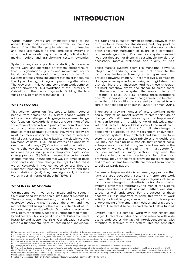### INTRODUCTION

Words matter. Words are intimately linked to the accumulation and exercise of power in complex fields of activity. For people who want to imagine and build alternatives to the large-scale systems in which we live, words play an especially critical role in making legible and transforming system dynamics.

System change as a practice is starting to coalesce, in the work and identities of 'system entrepreneurs', that is, organisations, groups and movements and/or individuals in collaboration who work to transform systems by recognising incumbent system architectures, then by incubating, building, and promoting alternatives. The keywords in this volume come from work completed at a November 2014 Workshop at the University of Oxford, with the theme 'Keywords: Building the language of system entrepreneurship'.[1]

#### **WHY KEYWORDS?**

This volume reports on first steps to bring together people from across the UK system change world to address the challenge of language in systems change. Our focus on 'Keywords' is in part a recognition of the wide range of scholarly and practical wisdom about how words and other symbol systems bring into common practice more abstract purposes. 'Keywords' today are most commonly associated with practices of search in digital data. Our usage harks back to the classic work by Raymond Williams (1976) on Keywords as signposts of deep cultural change.[2] One important speculation to come is the way these two usages of the word keyword may well be joining up in contemporary digital-social change practices.[3] Williams argued that certain words change meaning in fundamental ways in times of basic social and institutional change. He says 'I called these words Keywords in two connected senses: They are significant, binding words in certain activities and their interpretations; [and] they are significant, indicative words in certain forms of thought' (1976: 15).

#### **WHAT IS SYSTEM CHANGE?**

We moderns live in worlds complexly and consequentially organised by large-scale institutional systems.[4] These systems, on the one hand, provide for many of our everyday needs and wealth; yet, on the other hand, they restrict the well-being of others and create a host of unintended negative side effects. Our carbon-based energy system, for example, supports unprecedented mobility and heats our houses, yet it also contributes to climate instability and geopolitical risks. Our education systems realise a fundamental right to learning and knowledge, facilitating the pursuit of human potential. However, they also reinforce many societal divides and they produce workers set for a 20th century industrial economy, who often encounter frustration or failure in a contemporary knowledge society. Our healthcare systems extend lives, but they are not financially sustainable, nor do they necessarily improve well-being and quality of lives.

These massive systems seem like monoliths—powerful, integral, and enduring structures that dominate the institutional landscape. Some system entrepreneurs provide a powerful imagery: 'These massive systems seem like skyscrapers—powerful, enduring, and rigid structures that dominate the landscape. And yet these skyscrapers must somehow evolve and change to create space for the new and better system that wants to be born" (Tiesinga, H. et al., 2014).[5] Shifting these institutions doesn't just happen: Systemic change "needs to be planted in the right conditions and carefully cultivated to ensure it can take root and flourish" (Sherri Torjman, 2014).

There are a growing number of actors working inside and outside of incumbent systems to create this type of change. We call these people 'system entrepreneurs'. They can be found in a wide range of industries, markets and sectors. They address some of the most complex challenges of our time – from climate change, to depleting fish-stocks, to the misalignment of our global financial system. They architect and build new form systems, based on alternative principles and desiderata. [6] They are building new markets that connect social entrepreneurs to capital, fixing inefficient markets in the developing world, and creating the infrastructure for inclusive markets in many sectors. They map the possible solutions in each sector and fund the most promising; they are helping to evolve the most entrenched and broken systems from healthcare to food, from finance to political participation.

Systems entrepreneurship is an emerging practice that lacks a shared vocabulary. Systems entrepreneurs work in ways that don't fit into existing categories of social institutional change in their efforts to transform market systems. Even more importantly, the 'market' for systems entrepreneurship is itself nascent, neither well-structured, nor well understood. For the success of these endeavours, it is important to name this world of work activity, to build language around it and to develop an understanding of the emerging methods and practices related to it, so that it becomes credible and better funded.

'System' itself is a complex word with rich history and usages. In recent decades, one broad meaning with wide usage underscores the fact of interdependencies, with attention to features of the system. This has generated

<sup>[1]</sup> See later section 'How we crafted the Keywords' for a detailed review of the Workshop process, purposes, logistics, and learnings.

<sup>[2]</sup> Williams, R. (1976), Keywords: A Vocabulary of Culture and Society, Croon Helm. See also revisions and related updates, Oxford University Press 1983; and Bennett, T., L. Grossberg, and M. Morris, eds. (2005), New Keywords: A Revised Vocabulary of Culture and Society, Blackwell. For a rich, contemporary overview, see the Keywords Project, a

joint project by University of Pittsburg and Jesus College, Cambridge: http://keywords.pitt.edu/williams\_keywords.html<br>[3] We thank Andrew Bredenkamp and colleagues at Dublin's CNGL industry-university research consortium

<sup>[4]</sup> This paragraph adapted from the original text in Tiesinga, H. et al, (2014).

<sup>[5]</sup> Tiesinga, H., et al. (2014) Labcraft: How Social Labs Cultivate Change through Innovation & Collaboration. Labcraft Publishing.

<sup>[6]</sup> The work by Social Innovation Generation in Toronto points to how such system builders display characteristics of keystone individuals – see Hwang, V. and Horowitt, G.

<sup>(2012).</sup> The Rainforest: The Secret to Building the Next Silicon Valley. They are: They are: integrative -- "comfortable reaching across boundaries to bring people together"; in-<br>fluential --"have the ability to convince pe

things happen, not just create a lot of heat and noise." See also, M.J. Ventresca (2011) on 'System builders': https://www.youtube.com/watch?v=l9T3diyqRPg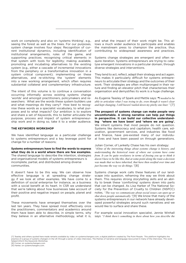work on complexity and also on 'systems thinking', e.g., seeing the forest as well as the trees. For our purposes, system change involves four steps: Recognition of current institutional dynamics, including identification of institutional arrangements, rules of the game, and supporting practices; recognising critical elements in that system with tools for legibility; making available, promoting and incubating alternatives to the existing system (e.g., either a cascade of incremental innovations from the periphery or a transformative innovation in a system critical component); implementing on these alternatives, and re-stitching the 'system' elements into a new working arrangement, which often requires substantial collateral and complementary infrastructure.

The intent of this volume is to continue a conversation occurring informally across existing systems change 'worlds' and amongst practitioners, policymakers and researchers: What are the words these system builders use and what meanings do they carry? How best to recognise these words as a specialist vocabulary, to what purposes and to what impacts? Our ambition is to explore and share a set of Keywords, this to better articulate the purpose, process and impact of system entrepreneurship work and in doing so, take it to a wider audience.

#### **THE KEYWORDS WORKSHOP**

We have identified language as a particular challenge to systems entrepreneurs and a key leverage point for change for a number of reasons;

**Systems entrepreneurs have to find the words to express what they do in a world where there are few examples.**  The shared language to describe the intention, strategies and organisational models of systems entrepreneurs is incomplete, partial, and distributed among diverse communities.

It doesn't have to be this way. We can observe how effective language is at spreading change strategy if we look at other examples. We have come to a definition of social enterprise for instance, as a business with a social benefit at its heart. In CSR we understand that we're talking about how businesses take account of their positive and negative impact on people, planet and profit.

These movements have emerged themselves over the last ten years. They have spread most effectively once the practitioners, commentators and academics around them have been able to describe, in simple terms, why they believe in an alternative methodology, what it is, and what the impact of their work might be. This allows a much wider audience to participate and enables the mainstream press to champion the practice, thus contributing to widespread awareness and practices.

Systems change strategies are emergent and often require iteration. Systems entrepreneurs are trying to catalyse emergent innovations in a particular domain, through diverse strategies and interventions.

They tend to act, reflect, adapt their strategy and act again. This makes it particularly difficult for systems entrepreneurs to articulate their strategy and the outcomes of their work. Their strategies are often multipronged in their nature and finding an elevator pitch that characterises their organisation and demystifies its work is a huge challenge.

As Eugenie Teasley of Spark and Mettle says: *"I needed to be able to articulate what I was trying to do, even though it wasn't clear and kept changing. I still haven't nailed down my pitchy one liner."* [7]

**The prospect of systems change can make people very uncomfortable. A strong narrative can help put things in perspective. It can build our collective understanding 'where we have been' and 'where we are going'.**  We inherit systems that most people do not question. Systems like democracy and capitalism, health care, education, government services, and industries like food and finance, have pre-existed many of our individual lives and have been passed on through generations.

Julian Corner, of Lankelly Chase has his own strategy:

*"(O)ne of the interesting things about systems change is history, and understanding the historical route of where our systems have come from. It can be quite revelatory in terms of freeing you up to think it doesn't have to be like this, that at some point along the route a decision was made that we have inherited, that have then ossified over time and just become the way we do things."*[8]

Systems change work calls these features of our landscape into question, reframing the way we think about them. This requires strong storytelling skills and an ability to break these 'comforting' systems down into parts that can be changed. As Lisa Harker of The National Society for the Prevention of Cruelty to Children (NSPCC) notes, *"The way we communicate about social issues can open up or shut down people automatically."*[9] We know that many of the systems entrepreneurs in our network have already developed powerful strategies around such narratives and we would like to surface and share these.

For example social innovation specialist, Jennie Winhall says *"I think there's something in there about how you describe the* 

[7] Teasley and others quoted here made remarks available by video on systemschangers.com, a digital platform created by The Point People. This platform highlights the practice of a group of systems changers in the UK through a series of video interviews. The themes of narrative and language reoccurred in many of the interviews. This work helped inform the Keywords Workshop. [8] Corner, on systemschangers.com

[9] Harker, on systemchangers.com.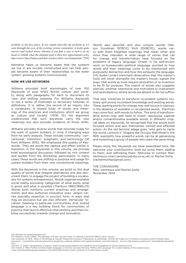*problem in the first place. If you simple describe the problem as it's seen through the eyes of the existing system constraints, it looks quite narrow and locked down, whereas if you find a way to turn it on its head or rethink what the ultimate goal is then new opportunities arise that weren't there before and that can have their own momentum.*"[10]

Narrative helps us become aware that the systems we live in are socially constructed and can help people become aware of their relationships to the wider system, growing systems consciousness.

#### **HOW WE USE KEYWORDS**

Williams provided brief etymologies of over 100 Keywords of post WW2 British culture and society, along with paragraphs for each to document its 'new' and shifting meaning. For Williams, Keywords 'is not a series of footnotes to dictionary histories or definitions. It is, rather, the record of an inquiry into a vocabulary: A shared body of words and meanings of the practices and institutions which we group as culture and society' (1976: 15). His argument underscored that such keywords carry the new meanings but also provide evidence of those shifts.

Williams provides diverse words that resonate today for the work of system builders, in vivid, if changing ways from his early analysis. These include 'community,' 'conventional,' 'institution,' 'pragmatic,' and 'technology' (all from Williams 1976). We emphasise this quality of Keywords: They are words the capture and effect worlds in transition. In the Keywords in this volume, we provide brief etymological discussion, followed by rich context and quotes from the Workshop participants. In many cases, these words are shifting in purpose and usage for system builders from their now conventional meanings.

With the Keywords in this volume, we build on this dual quality of words that imagine alternatives and also document them, to engage the project of building a vocabulary for systems entrepreneurs. Words organise available social reality, providing 'categories' of what exists, what is good, and what is possible (Therborn 1980/1999).[11] Words both reinforce current practices and arrangements, and also authorise innovative ones. Jargon carries specialty expertise, in succinct form, in ways that may be exclusive but are also efficient. Vernacular 'localises' meaning to particular communities. And, shared language is a key building block for communities of practice that launch effective interventions and that mobilise successfully towards change and innovation.

Words also describe and also conjure worlds (Nelson Goodman 1978[12]; Rich 2008[13]); words carry with them freighted meanings that mean other and more than intended. A wide range of voices that call for change and transformation have focused on the problems of legacy language: Orwell, in his well-known work on bureaucratic-political language, pointed to how words and their meanings come to be intertwined with purposeful distraction and how this exhausts the language. [14] Audre Lorde's trenchant observation that 'the master's tools will never dismantle the master's house' signals the ways that words as tools require renovation or re-invention to be fit for purpose. The import of words also suggests silences, whether intentional and motivated or inadvertent and serendipitous, where words are absent or do not suffice.

That said, initiatives to transform incumbent systems routinely spill across incumbent knowledge and existing words. These starting points for change may well source in silences, in the absence of available or recognised words. Practices may come first, with words to follow. This kind of transformative action may well need to invent, repurpose, capture and/or conventionalise available words. In Williams' original ideas on Keywords, he recognised that the words both focused action and also themselves carried and effected action. As the old feminist adage goes, 'who gets to name the world, controls it'. Slogans like Occupy Wall Street's 'the 99%' exemplify how powerful words can be at galvanising and mobilising a group of people who want the same thing.

Please enjoy the Keywords we have assembled here. We welcome your contributions, both by using them, adding to them, and rethinking them. Welcome to contact Marc Ventresca (marc.ventresca@sbs.ox.ac.uk) or Rachel Sinha (rachelmsinha@gmail.com)

THE CONVENORS Marc Ventresca and Rachel Sinha November 2014

<sup>[10]</sup> Winhall, on systemchangers.com

<sup>[11]</sup> Therborn, Goran (1980), The Ideology of Power and the Power of Ideology (reprinted 1999 as Verso Classic).

<sup>[12]</sup> Goodman, N. 1978. Ways of Worldmaking. Hackett Publishing Company. Indianapolis & Cambridge. 'Worlds are made out of symbols [including words] through these<br>processes: Composition and decomposition; weighting; orde html

<sup>[13]</sup> Rich, A. 2008 'Cartographies of silence', https://poetrying.wordpress.com/2008/12/15/cartographies-of-silence-adrienne-rich/

<sup>[14]</sup> Orwell, G. 1946. 'Politics and the English language', in Horizon; see also the blog 'Politics and Language' for a useful reading of the original essay:<br>https://politicsandlanguage.wordpress.com/2012/06/23/main-points-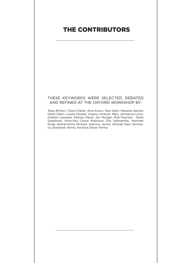### THE CONTRIBUTORS

### THESE KEYWORDS WERE SELECTED, DEBATED AND REFINED AT THE OXFORD WORKSHOP BY:

Tessy Britton, Cheryl Dahle, Alice Evans, Noa Gafni, Natasha Garcha, Diane Gilpin, Louisa Hooper, Viviana Jiménez, Mary Johnstone-Louis, Graham Leicester, Melissa Marsh, Jen Morgan, Rob Poynton, Paolo Quattrone, Anna Ritz, Cassie Robinson, Ella Saltmarshe, Yashveer Singh, Rachel Sinha, Richard Spencer, Jennie Winhall, Marc Ventresca, Shashank Verma, Archana Devar Verma.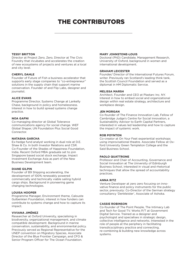### THE CONTRIBUTORS

#### **TESSY BRITTON**

Director at Project Zero, Zero, Director at The Civic Foundry that incubates and accelerates the creation of new ecosystems of projects and ventures at a local and city level.

#### **CHERYL DAHLE**

Founder of Future of Fish a business accelerator that supports early stage companies to "co-entrepreneur" solutions in the supply chain that support marine conservation. Founder of and Flip Labs, designer and journalist.

#### **ALICE EVANS**

Programme Director, Systems Change at Lankelly Chase, background in policy and homelessness. Interest in how to build spread systems change practice.

#### **NOA GAFNI**

Co-managing director at Global Tolerance communications agency for social change. WEF Global Shaper, UN Foundation Plus Social Good Connector.

### **NATASHA GARCHA**

Ex-hedge fund analyst working in dual role at D.E. Shaw & Co. In both Investor Relations and CSR. Co-Founder of the Shades of Happiness Foundation, India. Recent Oxford MBA graduate set to join Singapore based social stock exchange, Impact Investment Exchange Asia as part of the New Business Development team.

### **DIANE GILPIN**

Founder of B9 Shipping accelerating, the development of 100% renewably powered commercially and technically viable sailing hybrid cargo ships. Background in pioneering game changing technologies.

### **LOUISA HOOPER**

Programme Manager, Environment theme, Calouste Gulbenkien Foundation, interest in how funders can contribute to systems change and how to capture its impact.

### **VIVIANA JIMÉNEZ**

Researcher at Oxford University, specialising in biodiversity, organizational management, and climate compatible development. Background in marine conservation, sustainability, and environmental policy. Previously served as Regional Representative for the UNEP convention on Migratory Species, Associate Director of the Blue Frontier Campaign, and CFO & Senior Program Officer for The Ocean Foundation.

#### **MARY JOHNSTONE-LOUIS**

Doctoral (PhD) Candidate, Management Research, University of Oxford, background in women and international development.

### **GRAHAM LEICESTER**

Founder/ Director of the International Futures Forum, writer. Previously ran Scotland's leading think tank, the Scottish Council Foundation and served as a diplomat in HM Diplomatic Service.

#### **MELISSA MARSH**

Architect, Founder and CEO at Plastarc Inc. NY. Interest in how to embed social and organizational design within real estate strategy, architecture and workplace design.

#### **JEN MORGAN**

Co-founder of The Finance Innovation Lab, Fellow of Cambridge Judge's Centre for Social Innovation, a Sustainability Advisor to Earth Capital Partners, interested in values led leadership and how to capture the impact of systemic work.

#### **ROB POYNTON**

Co-creator at On Your Feet experiential workshops using improvisational theatre. Associate Fellow at Oxford University Green Templeton College and the Said Business School.

### **PAOLO QUATTRONE**

Professor and Chair of Accounting, Governance and Social Innovation at The University of Edinburgh Business School, interested in visual and rhetorical techniques that allow the spread of accountability practices.

### **ANNA RITZ**

Venture Developer at zero zero focusing on innovative finance and policy instruments for the public sector, previously: Co-Director of the German strategy consultancy 'Denkleister', Associate of Ashoka.

#### **CASSIE ROBINSON**

Co-founder of The Point People, The Intimacy Lab and Tech for Good TV. Works P/T at Government Digital Service. Trained as a designer and psychologist and specialises in strategic design, collective intelligence and networks. Interested in the role of people at the periphery in facilitating transdicsciplinary practice and connecting, re-combining & building new knowledge across systems.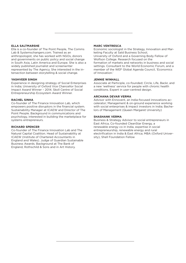#### **ELLA SALTMARSHE**

Ella is a co-founder of The Point People, The Comms Lab & Systemschangers.com. Trained as an anthropologist, she has worked with NGOs, donors and governments on public policy and social change in South Asia, Latin America and Europe. She is also a widely published journalist and screenwriter represented by The Agency. She interested in the intersection between storytelling & social change.

### **YASHVEER SINGH**

Experience in designing strategy of Social Enterprises in India; University of Oxford Vice Chancellor Social Impact Award Winner – 2014. Skoll Centre of Social Entrepreneurship Ecosystem Award Winner.

### **RACHEL SINHA**

Co-founder of The Finance Innovation Lab, which empowers positive disruptors in the financial system. Sustainability Manager at ICAEW and Director of The Point People. Background in communications and psychology, interested in building the marketplace for systems entrepreneurs.

#### **RICHARD SPENCER**

Co-founder of The Finance Innovation Lab and The Natural Capital Coalition. Head of Sustainability at ICAEW (Institute of Chartered Accountants in England and Wales). Judge of Guardian Sustainable Business Awards. Background at The Bank of England, Rothschild & Sons and in Art History.

### **MARC VENTRESCA**

Economic sociologist in the Strategy, Innovation and Marketing Faculty at Saïd Business School, University of Oxford and a Governing Body Fellow of Wolfson College. Research focused on the formation of markets and networks in business and social settings. Consultant to the World Economic Forum, and a member of the WEF Global Agenda Council, 'Economics of Innovation.'

#### **JENNIE WINHALL**

Associate at Participle, co-founded; Circle, Life, Backr, and a new 'wellness' service for people with chronic health conditions. Expert in user-centred design.

### **ARCHANA DEVAR VERMA**

Advisor with Ennovent, an India-focused innovations accelerator; Management & on-ground experience working with social enterprises & impact investors in India; Bachelors of Management (Queen Margaret University)

#### **SHASHANK VERMA**

Business & Strategy Advisor to social entrepreneurs in East Africa, Co-founded CleanStar Energy, a renewable energy co in India, expertise in social entrepreneurship, renewable energy and rural electrification in India & East Africa; MBA (Oxford University), Shell Foundation Fellow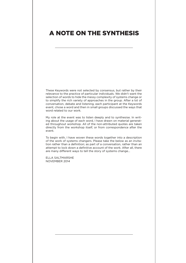### A NOTE ON THE SYNTHESIS

These Keywords were not selected by consensus, but rather by their relevance to the practice of particular individuals. We didn't want the selection of words to hide the messy complexity of systems change or to simplify the rich variety of approaches in the group. After a lot of conversation, debate and listening, each participant at the Keywords event, chose a word and then in small groups discussed the ways that word related to our work.

My role at the event was to listen deeply and to synthesise. In writing about the usage of each word, I have drawn on material generated throughout workshop. All of the non-attributed quotes are taken directly from the workshop itself, or from correspondence after the event.

To begin with, I have woven these words together into a description of the work of systems changers. Please take the below as an invitation rather than a definition; as part of a conversation, rather than an attempt to lock down a definitive account of the work. After all, there are many different ways to tell the story of systems change...

ELLA SALTMARSHE NOVEMBER 2014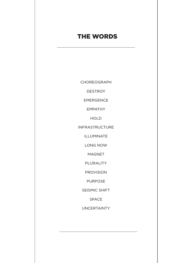### THE WORDS

CHOREOGRAPH

**DESTROY** 

EMERGENCE

EMPATHY

HOLD

INFRASTRUCTURE

ILLUMINATE

LONG NOW

MAGNET

PLURALITY

PROVISION

PURPOSE

SEISMIC SHIFT

SPACE

UNCERTAINTY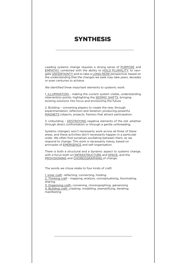### SYNTHESIS

Leading systems change requires a strong sense of PURPOSE and EMPATHY, combined with the ability to HOLD PLURALITY, to navigate UNCERTAINTY and to take a LONG-NOW perspective, based on the understanding that the changes we seek may take years, decades or even centuries to achieve.

We identified three important elements to systemic work:

1. ILLUMINATION – making the current system visible, understanding intervention points, highlighting the SEISMIC SHIFTS, bringing existing solutions into focus and envisioning the future

2. Building – convening players to create the new, through experimentation, reflection and iteration; producing powerful MAGNETS (objects, projects, frames) that attract participation.

3. Unbuilding – DESTROYING negative elements of the old, whether through direct confrontation or through a gentle unthreading.

Systems changers won't necessarily work across all three of these areas, and these activities don't necessarily happen in a particular order. We often find ourselves oscillating between them, as we respond to change. This work is necessarily messy, based on principles of EMERGENCE and self-organisation.

There is both a structural and a dynamic aspect to systems change, with a focus both on INFRASTRUCTURE and SPACE, and the PROVISIONING and CHOREOGRAPHING of change.

The words we chose relate to four kinds of craft:

1. Inner craft- reflecting, connecting, holding

2. Thinking craft - mapping, analysis, conceptualising, illuminating, sharing

3. Organising craft- convening, choreographing, galvanising 4. Building craft- creating, modelling, exemplifying, iterating, manifesting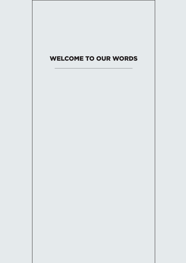### WELCOME TO OUR WORDS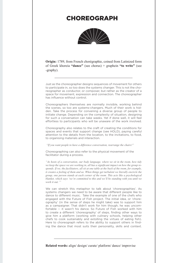### CHOREOGRAPH



**Origin:** 1789, from French chorégraphie, coined from Latinized form of Greek khoreia **"dance"** (see chorus) + graphein **"to write"** (see -graphy).

Just as the choreographer designs sequences of movement for others to participate in, so too does the systems changer. This is not the choreographer as conductor, or composer, but rather as the creator of a space for movement, expression and connection. The choreographer has influence without control.

Choreographers themselves are normally invisible, working behind the scenes, so too are systems-changers. Much of their work is hidden. Take the process for convening a diverse group of people to initiate change. Depending on the complexity of situation, designing for such a conversation can take weeks. Yet if done well, it will feel effortless to participants who will be unaware of the work involved.

Choreography also relates to the craft of creating the conditions for spaces and events that support change (see HOLD), paying careful attention to the details from the location, to the invitations, to food, to organising materials and interaction.

 *"If you want people to have a difference conversation, rearrange the chairs!"*

Choreographing can also refer to the physical movement of the facilitator during a process.

*"As hosts of a conversation, our body language, where we sit in the room, how tidy we keep the space we are working in, all has a significant impact on how the group responds. If we, the facilitators, all sit at one table at the back of the room, for example, it creates a feeling of them and us. When things get turbulent we literally encircle the group, one person stands at each corner of the room. This acts like a psychological blanket, which says 'we're committed to this and we'll be standing with you until we work it out.'"* 

We can stretch this metaphor to talk about 'choreographies'. As systems changers we need to be aware that different people like to dance to different music. Take the example of one of the chefs who engaged with the Future of Fish project. The initial idea, or 'choreography' (in the sense of steps he might take) was to support him as a campaigner. That didn't work for him though, he was uncomfortable -- it wasn't his dance. So Future of Fish worked with him to create a different 'choreography' of steps, finding other ways to give him a platform (working with culinary schools, helping other chefs to cook sustainably and extolling the virtues of eating fish). Here to choreograph refers to the ability to support others in finding the dance that most suits their personality, skills and context.

**Related words:** align/ design/ curate/ platform/ dance/ improvise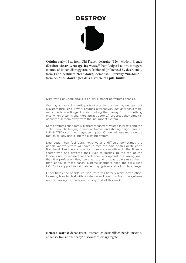## DESTROY



**Origin:** early 13c., from Old French destruire (12c., Modern French détruire) **"destroy, ravage, lay waste,"** from Vulgar Latin \*destrugere (source of Italian distruggere), refashioned (influenced by destructus), from Latin destruere **"tear down, demolish," literally "un-build,"**  from de- **"un-, down" (see** de-) + struere **"to pile, build".**

Destroying or unbuilding is a crucial element of systems change.

We may actively dismantle parts of a system, or we may deconstruct a system through our work creating alternatives. Just as when a magnet attracts iron filings it is also pulling them away from something else, when systems changers attract people/ resources they simultaneously pull them away from the incumbent system.

Some systems changers will directly confront vested interests and the status quo, challenging dominant frames and shining a light (see IL-LUMINATION) on their negative impact. Others will use more gentle tactics, quietly unpicking the existing system.

Destruction can feel dark, negative and difficult. Sometimes the people we work with will have to face the pain of this destruction first hand, like the community of senior executives in the finance sector who had devoted their lives to getting to the top of the ladder only to realise that the ladder was against the wrong wall, that the profession they were so proud of was doing more harm than good. In these cases, systems changers need the skills (see HOLD) to support individuals as they grieve and adjust to change.

Other times, the people we work with will fiercely resist destruction. Learning how to deal with resistance and rejection from the systems we are seeking to transform, is a key part of this work.

**Related words:** deconstruct/ dismantle/ destabilise/ bend/ unsettle/ collapse/ transition/ decay/ discomfort/ disaggregate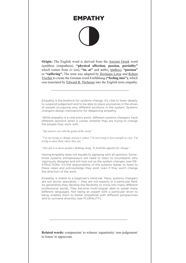### EMPATHY

**Origin:** The English word is derived from the **Ancient Greek** word ἐμπάθεια (empatheia), **"physical affection, passion, partiality"**  which comes from ἐν (en), **"in, at"** and πάθος (pathos), **"passion"**  or **"suffering".** The term was adapted by Hermann Lotze and Robert Vischer to create the German word Einfühlung **("feeling into"),** which was translated by Edward B. Titchener into the English term empathy.

Empathy is the bedrock for systems-change. It's vital to listen deeply, to suspend judgement and to be able to place yourselves in the shoes of people occupying very different positions in the system. Systems changers design mechanisms for deepening empathy.

 While empathy is a vital entry point, different systems changers, have different opinions when it comes whether they are trying to change the people they work with.

*"You need to cut with the grain of the wood."*

*"I'm not trying to change anyone's values. I'm not trying to force people to care. I'm trying to meet them where they are."*

#### *"Our job is to move people's thinking along. To build the appetite for change."*

Having empathy does not equate to agreeing with all opinions. Sometimes systems entrepreneurs will need to listen to incumbents who vigorously disagree and will lose out as the system changes (see DE-STRUCTION). It's the responsibility of the systems leader to listen to these views and acknowledge they exist, even if they won't change the direction of the work.

Empathy is linked to a beginner's mind-set. Many systems changers are not sector specialists -- they are not experts in a particular field. As generalists they develop the flexibility to move into many different professional words. They become multi-lingual, able to speak many different languages. Not being an expert with a particular drum to bang, enables them to better empathise with different perspectives and to convene diversity (see PLURALITY).

**Related words:** compassion/ to witness/ equanimity/ non-judgement/ to listen/ to appreciate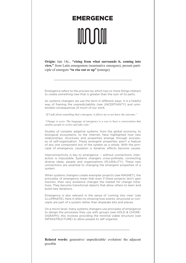# EMERGENCE **MOOM**

**Origin:** late 14c., **"rising from what surrounds it, coming into view,"** from Latin emergentem (nominative emergens), present participle of emergere **"to rise out or up" (**emerge).

Emergence refers to the process by which two or more things interact to create something new that is greater than the sum of its parts.

As systems changers we use the term in different ways. It is a helpful way of framing the unpredictability (see UNCERTAINTY) and unintended consequences of much of our work.

*"If I talk about something that's emergent, it allows me to not know the outcome."*

*"Change is scary. The language of emergence is a way to have a conversation that enables people to evolve and take risks."*

Studies of complex adaptive systems, from the global economy, to biological ecosystems, to the Internet, have highlighted how new relationships, structures and properties emerge through processes of self-organisation. These emergent properties aren't a feature of any one component but of the system as a whole. With the principle of emergence, causation is iterative; effects become causes.

Interconnectivity is key to emergence -- without connections, interaction is impossible. Systems changers cross-pollinate, connecting diverse ideas, people and organisations (PLURALITY). These new connections are essential to changing the emergent properties of a system.

When systems changers create exemplar projects (see MAGNET), the principles of emergence mean that even if these projects don't gain traction, their very existence changes the market for change initiatives. They become transitional objects that allow others to learn and build new iterations.

Emergence is also relevant in the sense of 'coming into view' (see ILLUMINATE), Here it refers to showing how events, structures or concepts are part of a system rather than disparate bits and pieces.

On a micro-level, many systems changers use principles of emergence to design the processes they use with groups (see HOLD & CHORE-OGRAPH), this involves providing the minimal viable structure (see INFRASTRUCTURE) to allow people to self organise.

**Related words:** generative/ unpredictable/ evolution/ the adjacent possible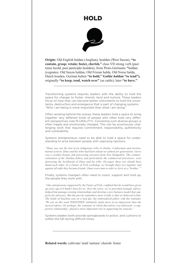### HOLD



**Origin:** Old English haldan (Anglian), healdan (West Saxon), **"to contain, grasp; retain; foster, cherish,"** class VII strong verb (past tense heold, past participle healden), from Proto-Germanic \*haldan (cognates: Old Saxon haldan, Old Frisian halda, Old Norse halda, Dutch houden, German halten **"to hold," Gothic haldan "to tend"),**  originally **"to keep, tend, watch over"** (as cattle), later **"to have."**

Transforming systems requires leaders with the ability to hold the space for change; to foster, cherish, tend and nurture. These leaders focus on how they can become better instruments to hold the uncertainty, destruction and emergence that is part of changing systems. "Who I am being is more important than what I am doing."

Often working behind the scenes, these leaders hold a space to bring together very different kinds of people who often hold very different perspectives (see PLURALITY). Convening such diverse groups is often fragile and emotionally charged. This can be enormously challenging work that requires commitment, responsibility, authenticity and vulnerability.

Systems entrepreneurs need to be able to hold a space for understanding to arise between people with opposing opinions.

*"Dune was one the last of an indigenous tribe in Alaska. A fisherman and environmental activist, Dune and his tribe had been reliant on salmon for generations. Gerry was a weather-beaten, fish processing executive from New Hampshire. The commercialization of the Alaskan fishery and particularly the commercial processors, were destroying the livelihoods of Dune and his tribe. On paper these two should have hated each other. At a Future of Fish workshop, we brought these two together and against all odds they became friends. Dune even came to refer to Jerry as a 'brother.'"*

Finally, systems changers often need to coach, support and hold up, the people they work with.

*"One entrepreneur supported by the Future of Fish, confided that he would have given up years ago if it hadn't been for us. Over the years, we've provided strategic advice, helped him manage existing relationships and develop a new business model that supports his advocacy. But the part he remembers most vividly is that we believed in him. The bottle of bourbon sent on a bad day, the embroidered pillow with the reminder, 'We are on this road TOGETHER' ultimately made more of an impression than the tactical advice. Or, perhaps, the container in which that advice was delivered—a supportive relationship—played a more important role in supporting his tenacity."*

Systems leaders both provide springboards to action, and cushions to soften the fall during difficult times.

**Related words:** cultivate/ tend/ nurture/ cherish/ foster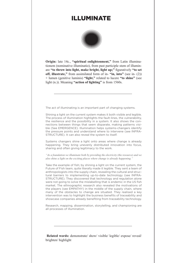### ILLUMINATE



**Origin:** late 14c., **"spiritual enlightenment,"** from Latin illuminationem (nominative illuminatio), from past participle stem of illuminare **"to throw into light, make bright, light up;"** figuratively **"to set off, illustrate,"** from assimilated form of in- **"in, into"** (see in- (2)) + lumen (genitive luminis) **"light,"** related to lucere **"to shine"** (see light (n.)). Meaning **"action of lighting"** is from 1560s.

The act of illuminating is an important part of changing systems.

Shining a light on the current system makes it both visible and legible. The process of illumination highlights the fault-lines, the vulnerability, the resilience and the possibility in a system. It also shows the connections between things that seem disparate, making patterns visible (See EMERGENCE). Illumination helps systems-changers identify the pressure points and understand where to intervene (see INFRA-STRUCTURE). It can also reveal the system to itself.

Systems changers shine a light onto areas where change is already happening. They bring unevenly distributed innovation into focus, sharing and often giving legitimacy to the work.

*"As a foundation we illuminate both by providing the electricity (the resource) and we also shine a light on the exciting places where change is already happening."*

Take the example of fish; by shining a light on the current system, the Future of Fish team, quite literally made it legible. They sent a team of anthropologists into the supply chain, revealing the cultural and structural barriers to implementing up-to-date technology (see INFRA-STRUCTURE). They discovered that technology and regulation alone were not going to solve the mislabelling that is endemic in the US fish market. The ethnographic research also revealed the motivations of the players (see EMPATHY) in the middle of the supply chain, where many of the obstacles to change are situated. They realised a key intervention was to highlight the business benefits of traceability and showcase companies already benefiting from traceability technology.

Research, mapping, dissemination, storytelling, and championing are all processes of illumination.

**Related words:** demonstrate/ show/ visible/ legible/ expose/ reveal/ brighten/ highlight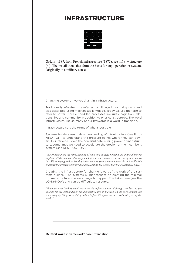### INFRASTRUCTURE



**Origin:** 1887, from French infrastructure (1875); see infra- + structure (n.). The installations that form the basis for any operation or system. Originally in a military sense.

Changing systems involves changing infrastructure.

Traditionally infrastructure referred to military/ industrial systems and was described using mechanistic language. Today we use the term to refer to softer, more embedded processes like rules, cognition, relationships and community in addition to physical structures. The word infrastructure, like so many of our keywords is a word in transition.

Infrastructure sets the terms of what's possible.

Systems builders use their understanding of infrastructure (see ILLU-MINATION) to understand the pressure points where they can powerfully intervene. Given the powerful determining power of infrastructure, sometimes we need to accelerate the erosion of the incumbent system (see DESTRUCTION).

*"We're examining the infrastructure of laws and policies keeping the financial system in place. At the moment this very much favours incumbents and encourages monopolies. We're trying to dissolve this infrastructure so it is more accessible and malleable enabling the greater diversity and accelerating the access that the alternatives have."*

Creating the infrastructure for change is part of the work of the systems builder. The systems builder focuses on creating the minimal optimal structure to allow change to happen. This takes time (see the LONG-NOW) and can be difficult to resource.

*"Because most funders won't resource the infrastructure of change, we have to get funding for projects and then build infrastructure on the side, on the edge, almost like it's a naughty thing to be doing, when in fact it's often the most valuable part of the work."*

**Related words:** framework/ base/ foundation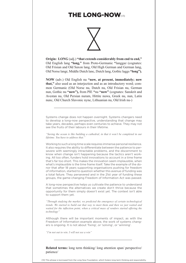### THE LONG-NOW(13)



**Origin: LONG** (adj.) **"that extends considerably from end to end,"**  Old English lang **"long,"** from Proto-Germanic \*langgaz (cognates: Old Frisian and Old Saxon lang, Old High German and German lang, Old Norse langr, Middle Dutch lanc, Dutch lang, Gothic laggs **"long").**

**NOW** (adv.) Old English nu **"now, at present, immediately; now that,"** also used as an interjection and as an introductory word; common Germanic (Old Norse nu, Dutch nu, Old Frisian nu, German nun, Gothic nu **"now"),** from PIE \*nu **"now"** (cognates: Sanskrit and Avestan nu, Old Persian nuram, Hittite nuwa, Greek nu, nun, Latin nunc, Old Church Slavonic nyne, Lithuanian nu, Old Irish nu-)

Systems change does not happen overnight. Systems changers need to develop a long-now perspective, understanding that change may take years, decades, perhaps even centuries to achieve. They may not see the fruits of their labours in their lifetime.

*"Saving the ocean is like building a cathedral, in that it won't be completed in our lifetime. You have to address that."*

Working to such a long time scale requires immense personal resilience. It also requires the ability to differentiate between the patience to persevere with seemingly intractable problems, and the discernment to know when change isn't happening because the tactics aren't working. All too often, funders hold innovations to account in a time frame that's far too short. This makes the innovation seem implausible, when what's implausible is the time frame itself. Take the example of the donor that after 18 years supporting organisations pushing for freedom of information, started to question whether this avenue of funding was a total failure. They persevered and in the 21st year of funding these groups, the game-changing Freedom of Information Act was passed.

A long-now perspective helps us cultivate the patience to understand that sometimes the alternatives we create don't thrive because the opportunity for them simply doesn't exist yet. The context isn't able to support them yet.

*"Through studying the market, we predicted the emergence of certain technological trends. We started to build out that way to meet them and then we just waited and waited for the inflection point, when a critical mass of vendors started offering the technology"*

Although there will be important moments of impact, as with the Freedom of Information example above, the work of systems changers is ongoing. It is not about 'fixing', or 'solving', or 'winning'.

*"I'm not out to win. I will not see a win"*

**Related terms:** long term thinking/ long attention span/ perspective/ patience/

[13] This phrase is borrowed from the Long Now Foundation, which fosters long-term thinking and responsibility.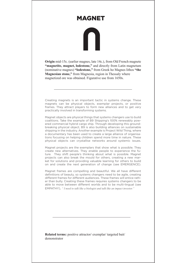### MAGNET



**Origin** mid-15c. (earlier magnes, late 14c.), from Old French magnete **"magnetite, magnet, lodestone,"** and directly from Latin magnetum (nominative magnes) **"lodestone,"** from Greek ho Magnes lithos **"the Magnesian stone,"** from Magnesia, region in Thessaly where magnetized ore was obtained. Figurative use from 1650s.

Creating magnets is an important tactic in systems change. These magnets can be physical objects, exemplar projects, or positive frames. They attract players to form new alliances and to get very practically involved in transforming systems.

Magnet objects are physical things that systems changers use to build coalitions. Take the example of B9 Shipping's 100% renewably powered commercial hybrid cargo ship. Through developing this groundbreaking physical object, B9 is also building alliances on sustainable shipping in the industry. Another example is Project Wild Thing, where a documentary has been used to create a large alliance of organisations focusing on helping children spend more time in nature. These physical objects can crystallise networks around systemic issues.

Magnet projects are the exemplars that show what is possible. They create new alternatives. They enable people to experience the future. They shift people's thinking about what is possible. Magnet projects can also break the mould for others, creating a new market for solutions and providing valuable learning for others to build on and create the next generation of change (see EMERGENCE).

Magnet frames are compelling and beautiful. We all have different definitions of beauty, so systems changers need to be agile, creating different frames for different audiences. These frames will entice rather than bully. Creating these frames requires systems changers to be able to move between different worlds and to be multi-lingual (see EMPATHY), *" I need to talk like a biologist and talk like an impact investor."*

**Related terms:** positive attractor/ exemplar/ targeted bait/ demonstrator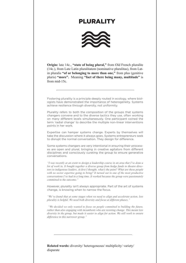### PLURALITY



**Origin:** late 14c., **"state of being plural,"** from Old French pluralite (14c.), from Late Latin pluralitatem (nominative pluralitas), from Latin pluralis **"of or belonging to more than one,"** from plus (genitive pluris) **"more".** Meaning **"fact of there being many, multitude"** is from mid-15c.

Fostering plurality is a principle deeply routed in ecology, where biologists have demonstrated the importance of heterogeneity. Systems achieve resilience through diversity, not uniformity.

Plurality refers to both the composition of the groups that systems changers convene and to the diverse tactics they use, often working on many different levels simultaneously. One participant coined the term 'radial change' to describe the multiple non-linear interventions points in her work.

Expertise can hamper systems change. Experts by themselves will take the discussion where it always goes. Systems entrepreneurs seek to disrupt the normal conversation. They design for difference.

Some systems changers are very intentional in ensuring their processes are open and plural, bringing in creative agitators from different disciplines and consciously curating the group to ensure generative conversations.

*"I was recently at an event to design a leadership course in an area that I've done a lot of work in. It bought together a diverse group from hedge funds to theatre directors to indigenous leaders. At first I thought, what's the point? What are these people with no sector expertise going to bring? It turned out to one of the most productive conversations I've had in a long time. It worked because the group were passionately committed to the outcome."*

However, plurality isn't always appropriate. Part of the art of systems change, is knowing when to narrow the focus.

*"We've found that at some stages when we need to align and accelerate action, less plurality is helpful. We need both diversity and focus at different phases."*

 *"We decided we only wanted to focus on people committed to building the future, rather than also engaging with incumbents who are resisting change. This meant less diversity in the group, but made it easier to align for action. We still work to ensure difference in this narrower group."* 

**Related words:** diversity/ heterogeneous/ multiplicity/ variety/ disparate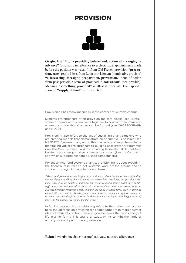### PROVISION



**Origin:** late 14c., **"a providing beforehand, action of arranging in advance"** (originally in reference to ecclesiastical appointments made before the position was vacant), from Old French provision **"precaution, care"** (early 14c.), from Latin provisionem (nominative provisio) **"a foreseeing, foresight, preparation, prevention,"** noun of action from past participle stem of providere **"look ahead"** (see provide). Meaning **"something provided"** is attested from late 15c.; specific sense of "supply of food" is from c.1600.

Provisioning has many meanings in the context of systems change.

Systems entrepreneurs often provision the safe places (see SPACE) where disparate actors can come together to connect their ideas and where uncomfortable alliances can be formed (see CHOREOGRAPH and HOLD).

Provisioning also refers to the act of sustaining change-makers who are creating models that demonstrate an alternative is possible (see MAGNET). Systems changers do this in a variety of ways, from championing individual entrepreneurs to building accelerator programmes (like the Civic Systems Lab), to providing leadership skills that help bolster these change-makers' chances of success (like the Campaign Lab which supports economic justice campaigners).

For those who fund systems change, provisioning is about providing the financial resources to get systemic work off the ground and to sustain it through its many twists and turns.

*"Trusts and foundations are beginning to talk more about the importance of funding system change, tackling the root causes of entrenched problems, not just the symptoms, and, with the benefit of independent resources and a strong belief in 'risk-taking', many are well placed to do so. At the same time, there is a responsibility to allocate precious resources wisely, making the allure of short-term, easy to attribute impact often irresistible. Thinking more about how we evidence long-term change in practical and meaningful ways over the short term may be key to unlocking a larder of trust and foundation provisions for this work."*

In feminist economics, provisioning refers to the notion that economies should focus on providing for people rather than more abstract ideas of value of creation. The end goal becomes the provisioning of life in all its forms. This strand of study, brings to light the kinds of activity we don't put monetary value on.

**Related words:** incubate/ nurture/ cultivate/ nourish/ affordance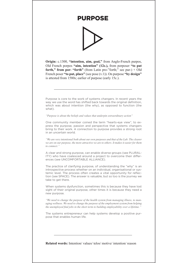### PURPOSE

**Origin:** c.1300, **"intention, aim, goal,"** from Anglo-French purpos, Old French porpos **"aim, intention" (12c.),** from porposer **"to put forth," from por- "forth"** (from Latin pro-"forth;" see pur-) + Old French poser "**to put, place**" (see pose (v.1)). On purpose "by design" is attested from 1580s; earlier of purpose (early 15c.).

Purpose is core to the work of systems changers. In recent years the way we use the word has shifted back towards the original definition, which was about intention (the why), as opposed to function (the what)

*"Purpose is about the beliefs and values that underpin extraordinary action"*

One community member coined the term "hearts-eye view", to express the purpose, passion and perspective that systems changers bring to their work. A connection to purpose provides a strong root in an uncertain world.

*"We are very intentional both about our own purposes and that of the Lab. The clearer we are on our purpose, the more attractive we are to others. It makes it easier for them to connect."*

A clear and strong purpose, can enable diverse groups (see PLURAL-ITY) who have coalesced around a project to overcome their differences (see UNCOMFORTABLE ALLIANCE).

The practice of clarifying purpose, of understanding the "why" is an introspective process whether on an individual, organisational or systemic level. The process often creates a vital opportunity for reflection (see SPACE). The answer is valuable, but so too is the journey we take to get there.

When systems dysfunction, sometimes this is because they have lost sight of their original purpose, other times it is because they need a new purpose.

*"We need to change the purpose of the health system from managing illness, to managing wellness. We need to change the purpose of the employment system from helping the unemployed find jobs in the short term to building employability over a lifetime."*

The systems entrepreneur can help systems develop a positive purpose that enables human life.

**Related words:** Intention/ values/ telos/ motive/ intention/ reason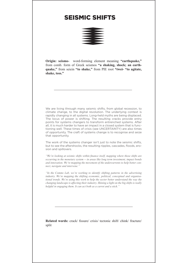### SEISMIC SHIFTS



**Origin: seismo-** word-forming element meaning **"earthquake,"**  from comb. form of Greek seismos **"a shaking, shock; an earthquake,"** from seiein **"to shake,"** from PIE root **\*twei- "to agitate, shake, toss."**

We are living through many seismic shifts, from global recession, to climate change, to the digital revolution. The underlying context is rapidly changing in all systems. Long-held myths are being displaced. The locus of power is shifting. The resulting cracks provide entry points for systems changers to transform entrenched systems. After all, it is much harder to have an impact in a closed system that is functioning well. These times of crisis (see UNCERTAINTY) are also times of opportunity. The craft of systems change is to recognise and seize that opportunity.

The work of the systems changer isn't just to note the seismic shifts, but to see the aftershocks, the resulting ripples, cascades, floods, erosion and spillovers.

*"We're looking at seismic shifts within finance itself, mapping where those shifts are occurring in the monetary system -- in areas like long term investment, impact bonds and innovation. We're mapping the movement of the undercurrents to help better connect, navigate and intervene."*

*"In the Comms Lab, we're working to identify shifting patterns in the advertising industry. We're mapping the shifting economic, political, conceptual and organisational trends. We're using this work to help the sector better understand the way the changing landscape is affecting their industry. Shining a light on the big shifts is really helpful in engaging them. It can act both as a carrot and a stick."*

**Related words:** crack/ fissure/ crisis/ tectonic shift/ chink/ fracture/ split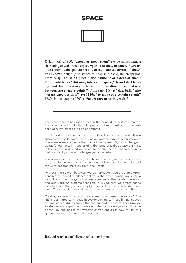### SPACE

**Origin:** (n) c.1300, "**extent or area; room"** (to do something), a shortening of Old French espace **"period of time, distance, interval"**  (12c.), from Latin spatium **"room, area, distance, stretch of time," of unknown origin** (also source of Spanish espacio, Italian spazio). From early 14c. a**s "a place," also "amount or extent of time."**  From mid-14c. **as "distance, interval of space;" from late 14c. as "ground, land, territory; extension in three dimensions; distance between two or more points."** From early 15c. as **"size, bulk," also "an assigned position." (v) 1540s, "to make of a certain extent;"**  1680s in typography; 1703 as **"to arrange at set intervals."**

The word 'space' has many uses in the context of systems change, from silence and the limits to language, to time to reflect, to the liminal places we create outside of systems.

It is important that we acknowledge the silences in our work. These silences may be because the things we want to express are unsayable. There are some concepts that cannot be defined. Systems change is about fundamentally transforming the structures that shape our lives. In breaking new ground we sometimes come across uncharted areas that we don't yet have the language to describe.

The silences in our work may also have other origins such as domination, resistance, inequality, convention, and secrecy. It can be helpful for us to become more aware of the unsaid.

Without the spaces between words, language would be incomprehensible; without the silence between the notes, music would be a cacophony. It is the gaps that make sense of the words, the notes and our work. As systems changers, it is vital that we create space to reflect; breathing space; empty time to allow us to understand our work. This space is essential if we are to continuously learn and iterate.

Creating a space outside of the system to build exemplars (see MAG-NET) is an important tactic in systems change. These liminal spaces operate as a bridge between the present and the future. They provide a safe space to experiment outside of the status quo (see HOLD). One of the key challenges for systems entrepreneurs is how to link this space back into to the existing system.

**Related words:** gap/ silence/ reflection/ liminal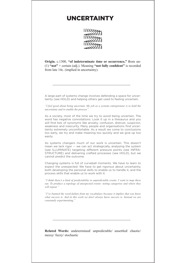### UNCERTAINTY



**Origin.** c.1300, **"of indeterminate time or occurrence," f**rom un- (1) **"not"** + certain (adj.). Meaning **"not fully confident"** is recorded from late 14c. (implied in uncertainty).

A large part of systems change involves defending a space for uncertainty (see HOLD) and helping others get used to feeling uncertain.

*"I feel good about being uncertain. My job as a systems entrepreneur is to hold the uncertainty and to enable the process"*

As a society, most of the time we try to avoid being uncertain. The word has negative connotations. Look it up in a thesaurus and you will find lists of synonyms like anxiety, confusion, distrust, suspicion, weakness and insecurity. Many people and organisations find uncertainty extremely uncomfortable. As a result we come to conclusions too early, we try and make meaning too quickly and we give up too easily.

As systems changers much of our work is uncertain. This doesn't mean we lack rigor -- we can act strategically, analysing the system (see ILLUMINATE) targeting different pressure points (see INFRA-STRUCTURE) and delivering crafted processes (see HOLD), but we cannot predict the outcome.

Changing systems is full of curveball moments. We have to learn to expect the unexpected. We have to get rigorous about uncertainty, both developing the personal skills to enable us to handle it, and the process skills that enable us to work with it.

*"I think there's a kind of predictability to unpredictable events. I want to map these out. To produce a topology of unexpected events- noting categories and where they will repeat."*

*"I've banned the word failure from my vocabulary because it implies that you know what success is. And in this work we don't always know success is. Instead we are constantly experimenting."*

**Related Words:** undetermined/ unpredictable/ unsettled/ chaotic/ messy/ fuzzy/ stochastic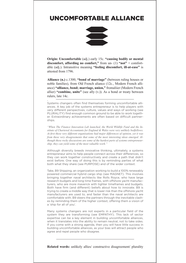### UNCOMFORTABLE ALLIANCE



**Origin: Uncomfortable** (adj.) early 15c. **"causing bodily or mental discomfort, affording no comfort,"** from un- (1) **"not"** + comfortable (adj.). Intransitive meaning **"feeling discomfort, ill-at-ease"** is attested from 1796.

**Alliance (n.)** c.1300, **"bond of marriage"** (between ruling houses or noble families), from Old French aliance (12c., Modern French alliance) **"alliance, bond; marriage, union,"** fromaliier (Modern French allier) **"combine, unite"** (see ally (v.)). As a bond or treaty between rulers, late 14c.

Systems changers often find themselves forming uncomfortable alliances. A key job of the systems entrepreneur is to help players with very different perspectives, culture, values and ways of working (see PLURALITY) find enough common ground to be able to work together. Extraordinary achievements are often based on difficult partnerships.

.

*"When The Finance Innovation Lab launched, the World Wildlife Fund and the Institute of Chartered Accountants for England & Wales were very unlikely bedfellows. At first these very different organisations had major differences of opinion, yet it was from these very disagreements that some of the most interesting ideas emerged. Although these rocky discussions are some of the hardest parts of systems entrepreneurship, they can yield some of the most valuable work."*

Although diversity breeds innovative thinking, ultimately, a systems entrepreneur aims to help people connect across their differences, so they can work together constructively and create a path that didn't exist before. One way of doing this is by reminding parties of what both what they share (see PURPOSE) and of the wider context.

Take, B9 Shipping, an organization working to build a 100% renewably powered commercial hybrid cargo ship (see MAGNET). This involves bringing together naval architects like Rolls Royce, who have large research budgets and long time frames, with offshore yacht manufacturers, who are more maverick with tighter timeframes and budgets. Both have firm (and different) beliefs about how to innovate. B9 is trying to create a middle way that is lower risk than the offshore yacht manufacturers are used to, and faster than the naval architects are comfortable with. B9 steers the partners through the inevitable clashes by reminding them of the higher context, offering them a vision of a 'ship for all of you'.

Many systems changers are not experts in a particular field of the system they are transforming (see EMPATHY). This lack of sector expertise can be a key element in building uncomfortable alliances, when it translates into the ability to remain neutral, not to take sides. If you come with a strong agenda, then you will have little success in building uncomfortable alliances, as your bias will attract people who agree and repel people who disagree.

**Related words:** unlikely allies/ constructive disagreement/ plurality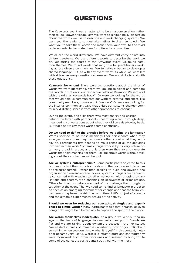### QUESTIONS

The Keywords event was an attempt to begin a conversation, rather than to lock down a vocabulary. We want to ignite a noisy discussion about the words we use to describe our work changing systems. We want you, the reader to suggest alternatives, to disagree, to edit. We want you to take these words and make them your own, to find vivid replacements, to translate them for different communities.

We all see the world differently. We have different entry points into different systems. We use different words to describe the work we do. Yet during the course of the Keywords event, we found common themes. We found words that rang true for practitioners working across diverse communities. We tentatively began to develop a shared language. But, as with any event worth its while, we were left with at least as many questions as answers. We would like to end with these questions…

**Keywords for whom?** There were big questions about the kinds of words we were identifying. Were we looking to select and compare the 'words in motion' in our respective fields, as Raymond Williams did with the original Keywords book? Or were we looking for the words that would help us communicate our work to external audiences, like community members, donors and influencers? Or were we looking for the internal common language that unites our systems changer community & distinguishes it from other approaches to change?

During the event, it felt like there was most energy and passion behind the latter with participants unearthing words through deep, meandering conversations about what they did on a day-to-day basis. But that's not to say there wasn't some confusion…

**Do we need to define the practice before we define the language?**  Words seemed to be most meaningful for participants when they emerged from stories they told one another about what they actually do. Participants first needed to make sense of all the activities involved in their work (systems change work is by its very nature often very broad in scope) and only then were they able to generate words that held meaning for them. Talking about words without talking about their context wasn't helpful.

**Are we systems 'entrepreneurs'?** Some participants objected to this term as much of their work is at odds with the practice and discourse of entrepreneurship. Rather than seeking to build and develop one organisation as an entrepreneur does, systems changers are frequently concerned with weaving together networks, with bridging organisations and sectors, with enriching an ecosystem of organisations. Others felt that this debate was part of the challenge that brought us together at the event. That we need some kind of language in order to be seen as an emerging movement for change and that the term 'entrepreneur' captures the risk, the commitment (it's not just a 'project') and the dynamic experimental nature of the activity.

**Should we even be reducing our concepts, strategies and experiences to single words?** Many participants felt that phrases, or even paragraphs might be a better way to capture the spirit of their work.

**Are words themselves inadequate?** As a group we kept butting up against the limits of language. As one participant put it, "words are flat and we are talking about dynamic processes". Another stated, "we all deal in areas of immense uncertainty, how do you talk about something when you don't know what it is yet?" In this context, metaphor became very useful. Words like infrastructure and choreography were 'borrowed' from other disciplines and seemed to bring to life some of the concepts participants struggled with the most.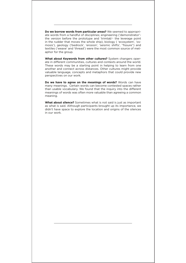**Do we borrow words from particular areas?** We seemed to appropriate words from a handful of disciplines; engineering ('demonstrator' the version before the prototype and 'trimtab'- the leverage point in the rudder that moves the whole ship), biology ( 'ecosystem', 'osmosis'), geology ('bedrock', 'erosion', 'seismic shifts', "fissure") and textiles ('weave' and 'thread') were the most common source of metaphor for the group.

**What about Keywords from other cultures?** System changers operate in different communities, cultures and contexts around the world. These words may be a starting point in helping to learn from one another and connect across distances. Other cultures might provide valuable language, concepts and metaphors that could provide new perspectives on our work.

**Do we have to agree on the meanings of words?** Words can have many meanings. Certain words can become contested spaces rather than usable vocabulary. We found that the inquiry into the different meanings of words was often more valuable than agreeing a common meaning.

**What about silence?** Sometimes what is not said is just as important as what is said. Although participants brought up its importance, we didn't have space to explore the location and origins of the silences in our work.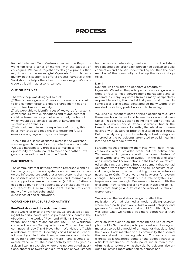### PROCESS

Rachel Sinha and Marc Ventresca devised the Keywords workshop over a series of months, with the support of colleagues. We came together to design a process that might capture the meaningful Keywords from this community. In this section, we offer a process narrative of the Workshop to help others build on our design. We conclude by looking at lessons learned.

#### **OUR OBJECTIVES**

The workshop was designed so that:

// The disparate groups of people convened could start to find common ground, explore shared identities and start to feel like a community

// We were able to identify a set of keywords for systems entrepreneurs, with explanations and etymology that could be turned into a publishable output; the first of which would be a concise lexicon of keywords for systems entrepreneurs

// We could learn from the experience of hosting this initial workshop and feed this into designing future events on language and systems change

To help build a sense of shared purpose the workshop was designed to be exploratory, reflective and intimate. We used participatory processes to maximise the opportunity for participants to meet one another, have good conversations and become friends.

#### **PARTICIPANTS**

The community that gathered were a remarkable and distinctive group, some are systems entrepreneurs; others do the infrastructure work that allows systems change to be possible; others are the observers and intermediaries who support systems entrepreneurs (a full list of attendees can be found in the appendix). We invited along several recent MBA alumni and current research students, many of whom had substantial experience of social innovation.

### **WORKSHOP STRUCTURE AND ACTIVITY**

#### **Pre-Workshop and the welcome dinner**

In the weeks prior to the Workshop, we circulated a reading list to participants. We also pointed participants in the direction of the work of Raymond Williams, Keywords: A vocabulary of culture and society (1976). The Workshop convened late on Sunday afternoon, 2 November and continued all day 3 & 4 November. We kicked off with a welcome at Oxford University's Saïd Business School, followed by an intimate dinner, where we shared stories of trying to communicate our work – and laughed together rather a lot. The dinner activity was designed as a deep listening exercise where one person asked questions, another answered and a further one or two listened

for themes and interesting twists and turns. The listeners reflected back after each person had spoken to build connection and deepen understanding and then the next member of the community picked up the role of storyteller.

#### **Day 1**

Day one was designed to generate a breadth of keywords. We asked the participants to work in groups of three or four to keep conversations manageable and to generate as many keywords from as many perspectives as possible, noting them individually on post-it notes. In some cases participants generated so many words they resorted to sticking post-it notes onto table legs.

We used a subsequent game of bingo designed to cluster these words on the wall and to see the overlap between tables. This exercise, despite being lively, did not help us move to a more concise lexicon of words. Rather, the breadth of words was substantial; the whiteboards were covered with clusters of brightly clustered post-it notes. But no analytically or substantively robust categories emerged as the participants attempted to build meaning into the broad range of words.

Participants tried grouping them into 'why', 'how', 'what' categories, which provided order, but not satisfaction. This exercise did generate additional board clusters of 'toxic words' and 'words to avoid'. In the debrief after and in many small conversations in the breaks, we reflected on the range and found broad agreement that we had generated words that described the full spectrum of social change from movement building, to social entrepreneurship, to CSR. These were not keywords for system change. They did not mark out the role of systems entrepreneurs well enough. We were confronted with the challenge- how to get closer to words in use and to keywords that engage and express the work of system entrepreneurs?

We adapted the Workshop design to reflect this realisation. We had planned a model building exercise where each participant would take a word category and generate further keywords that would fit within it, but it was clear what we needed was more depth rather than breadth.

After an introduction on the meaning and use of metaphor by Ella Saltmarshe, participants set about using art materials to build a model of a metaphor that described their work. Each member of the community then shared their model and the meaning behind it. This was a positive exercise as it unearthed some of the deeper, harder to articulate experience, of participants, rather than a topof-mind description of what they do. Participants also argued for paying more attention to phrases and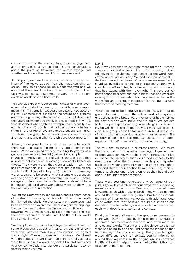compound words. There was active, critical engagement and a series of small group debates and conversations about the point of 'keywords' for system change and whether and how other word forms were relevant.

At this point, we asked the participants to pull out a maximum of five keywords each from the model-building exercise. They stuck these up on a separate wall and we allocated three small stickers, to each participant. Their task was to choose just three keywords from the hundreds of words now on both walls.

This exercise greatly reduced the number of words overall and also started to identify words with more complex meanings. This smaller set could be categorised according to 1) phrases that described the nature of a systems approach, e.g. 'change the frame' 2) words that described the nature of systems themselves, e.g. 'complex' 3) words that described what systems entrepreneurs actually did, e.g. 'build' and 4) words that pointed to words in transition in the usage of systems entrepreneurs, e.g. 'infrastructure'. The group had conversations also about verbs and nouns, and again why word phrases were important.

Although everyone had chosen three favourite words, there was a palpable feeling of disappointment in the room. When we looked at these resulting 'Keywords' as a group, some were contested ('values' for example

suggests there is a good set of values and a bad and that a system entrepreneur is making judgments based on those). They were words that were already in common use ('systems thinking' -- wasn't that just describing the whole field? How did it help us?). The most interesting words seemed to be around what systems entrepreneurs did and yet the list lacked coherence or depth. Several delegates pointed out that while these words might have had described our diverse work, these were not the words they actually used in practice.

We left the room with mixed feelings, and a general sense of frustration. Focusing on breadth rather than depth highlighted the challenge that system entrepreneurs had been convened to overcome. There is a general language that can be used to describe their work, but it lacks powerful words, which really helped them make sense of their own experience or articulate it to the outside world in a compelling way.

We had planned to come back together after dinner for some provocations about language. As the dinner conversations become more lively and diverse, we agreed that a night off would be make more sense. We closed with the request to participants to think carefully about a word they liked and a word they didn't like and adjourned to allow conversations to wander and participants to reflect in their own time.

#### **Day 2**

Day 2 was designed to generate meaning for our words. There was some discussion about how to best go about this given the results and experiences of the words generated on the previous day. We had planned personal reflection time, with a stream of consciousness exercise; instead we invited participants to pair up and go for a walk outside for 40 minutes, to share and reflect on a word that had stayed with them overnight. This gave participants space to digest and share ideas that had emerged overnight, to process what had happened so far in the workshop, and to explore in depth the meaning of a word that meant something to them.

What seemed to best engage participants was focused group discussion around the actual work of a systems entrepreneur. Two broad word themes that had emerged the previous day were 'build' and 'un-build'. We decided to let the participants self-organise into groups depending on which of these themes they felt most called to discuss. One group chose to talk about un-build or the role of destruction in the work of a systems entrepreneur. The majority of people (three groups) focused on different aspects of 'build' -- leadership, process and strategy.

The four groups moved in different rooms. We asked them to come up with a set of meaningful keywords and to populate each keyword sheet with stories, examples, or connected keywords that would add richness to the description. After the first session each group reported back to the wider community, to help bring some coherence and chance for reflection from others. They then returned to discussions to build on what they had already done, in the light of that feedback.

These work sessions generated a wide range of outputs, keywords assembled various ways with supporting meanings and other words. One group produced three keywords, each with a dozen further keywords clustered around the three. Another group cultivated an intricate diagram of inter-locking keywords, with additional dozen of words that they believed required discussion and definition. The two other groups provided a dozen words each, with descriptors, stories, and context.

Finally in the mid-afternoon, the groups reconvened to share what they'd produced. Each of the presentations generated comments and reactions, and often more examples and words. There was a palpable sense that we were beginning to find the kind of shared language that felt meaningful for this community. The groups had generated different levels of context setting information around their keywords, so the original groups convened in different sets to help those who had written little down, to generate more content.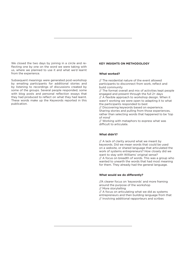We closed the two days by joining in a circle and reflecting one by one on the word we were taking with us, where we planned to use it and what we'd learnt from the experience.

Subsequent meanings were generated post-workshop by emailing participants for additional stories and by listening to recordings of discussions created by some of the groups. Several people responded, some with blog posts and personal reflection essays that they had produced to reflect on what they had learnt. These words make up the Keywords reported in this publication.

### **KEY INSIGHTS ON METHODOLOGY**

#### **What worked?**

// The residential nature of the event allowed participants to disconnect from work, reflect and build community

// The format overall and mix of activities kept people engaged and present through the full 2+ days // A flexible approach to workshop design. When it wasn't working we were open to adapting it to what the participants responded to best

// Discovering keywords based on experience. Sharing stories and pulling from those experiences, rather than selecting words that happened to be 'top of mind'

// Working with metaphors to express what was difficult to articulate.

#### **What didn't?**

// A lack of clarity around what we meant by keywords. Did we mean words that could be used on a website, or shared language that articulated the work of systems entrepreneurs? How closely did we want to stay with Williams' original sense? // A focus on breadth of words. This was a group who wanted to unearth the words that had most meaning for them. They already had the general language.

#### **What would we do differently?**

//A clearer focus on 'keywords' and more framing around the purpose of the workshop // More storytelling

// A focus on articulating what we did as systems entrepreneurs and then building language from that // Involving additional rapporteurs and scribes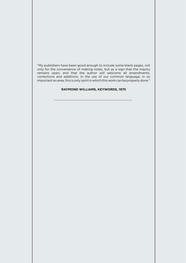"My publishers have been good enough to include some blank pages, not only for the convenience of making notes, but as a sign that the inquiry remains open, and that the author will welcome all amendments, corrections and additions. In the use of our common language, in so important an area, this is only spirit in which this work can be properly done."

### **RAYMOND WILLIAMS, KEYWORDS, 1975**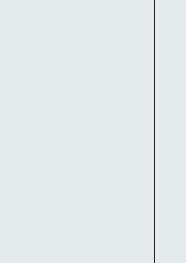